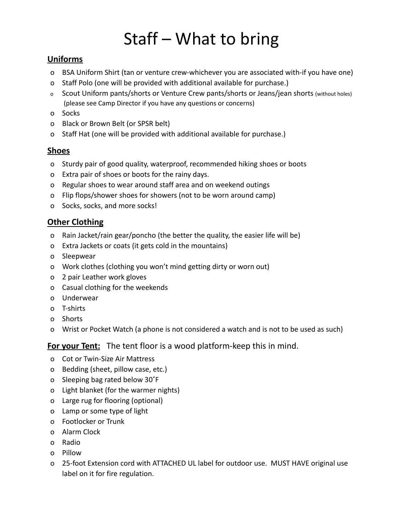# Staff – What to bring

# **Uniforms**

- o BSA Uniform Shirt (tan or venture crew-whichever you are associated with-if you have one)
- o Staff Polo (one will be provided with additional available for purchase.)
- o Scout Uniform pants/shorts or Venture Crew pants/shorts or Jeans/jean shorts (without holes) (please see Camp Director if you have any questions or concerns)
- o Socks
- o Black or Brown Belt (or SPSR belt)
- o Staff Hat (one will be provided with additional available for purchase.)

# **Shoes**

- o Sturdy pair of good quality, waterproof, recommended hiking shoes or boots
- o Extra pair of shoes or boots for the rainy days.
- o Regular shoes to wear around staff area and on weekend outings
- o Flip flops/shower shoes for showers (not to be worn around camp)
- o Socks, socks, and more socks!

# **Other Clothing**

- o Rain Jacket/rain gear/poncho (the better the quality, the easier life will be)
- o Extra Jackets or coats (it gets cold in the mountains)
- o Sleepwear
- o Work clothes (clothing you won't mind getting dirty or worn out)
- o 2 pair Leather work gloves
- o Casual clothing for the weekends
- o Underwear
- o T-shirts
- o Shorts
- o Wrist or Pocket Watch (a phone is not considered a watch and is not to be used as such)

**For your Tent:** The tent floor is a wood platform-keep this in mind.

- o Cot or Twin-Size Air Mattress
- o Bedding (sheet, pillow case, etc.)
- o Sleeping bag rated below 30˚F
- o Light blanket (for the warmer nights)
- o Large rug for flooring (optional)
- o Lamp or some type of light
- o Footlocker or Trunk
- o Alarm Clock
- o Radio
- o Pillow
- o 25-foot Extension cord with ATTACHED UL label for outdoor use. MUST HAVE original use label on it for fire regulation.